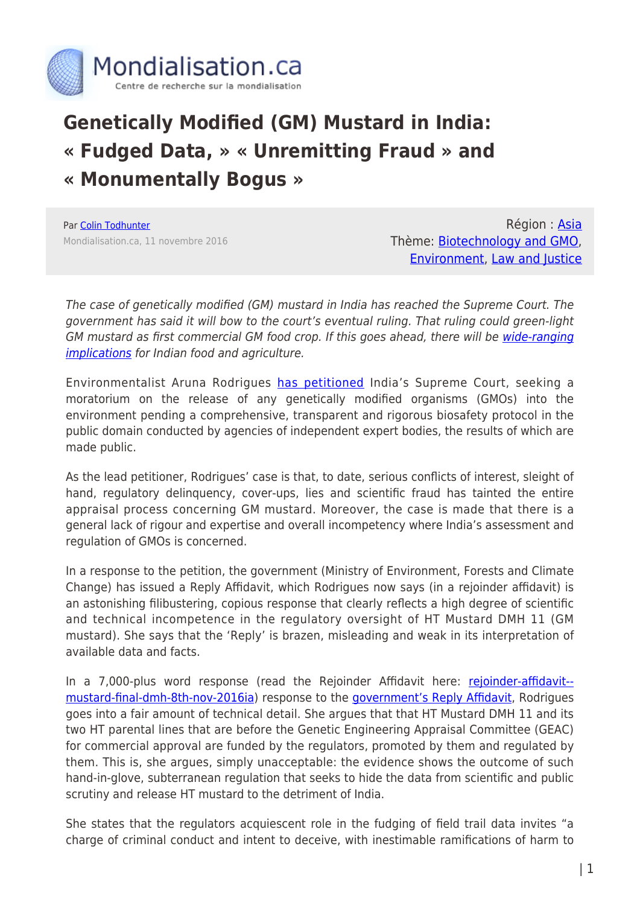

## **Genetically Modified (GM) Mustard in India: « Fudged Data, » « Unremitting Fraud » and « Monumentally Bogus »**

Par [Colin Todhunter](https://www.mondialisation.ca/author/colin-todhunter) Mondialisation.ca, 11 novembre 2016

Région : [Asia](https://www.mondialisation.ca/region/asia) Thème: [Biotechnology and GMO](https://www.mondialisation.ca/theme/biotechnology-and-gmo), [Environment,](https://www.mondialisation.ca/theme/environment) [Law and Justice](https://www.mondialisation.ca/theme/law-and-justice)

The case of genetically modified (GM) mustard in India has reached the Supreme Court. The government has said it will bow to the court's eventual ruling. That ruling could green-light GM mustard as first commercial GM food crop. If this goes ahead, there will be [wide-ranging](http://www.huffingtonpost.ca/colin-todhunter/restructuring-india-on-15_b_11404378.html) [implications](http://www.huffingtonpost.ca/colin-todhunter/restructuring-india-on-15_b_11404378.html) for Indian food and agriculture.

Environmentalist Aruna Rodrigues [has petitioned](http://rinf.com/alt-news/wp-content/uploads/2016/10/final-GM-application28-sept-1.pdf) India's Supreme Court, seeking a moratorium on the release of any genetically modified organisms (GMOs) into the environment pending a comprehensive, transparent and rigorous biosafety protocol in the public domain conducted by agencies of independent expert bodies, the results of which are made public.

As the lead petitioner, Rodrigues' case is that, to date, serious conflicts of interest, sleight of hand, regulatory delinquency, cover-ups, lies and scientific fraud has tainted the entire appraisal process concerning GM mustard. Moreover, the case is made that there is a general lack of rigour and expertise and overall incompetency where India's assessment and regulation of GMOs is concerned.

In a response to the petition, the government (Ministry of Environment, Forests and Climate Change) has issued a Reply Affidavit, which Rodrigues now says (in a rejoinder affidavit) is an astonishing filibustering, copious response that clearly reflects a high degree of scientific and technical incompetence in the regulatory oversight of HT Mustard DMH 11 (GM mustard). She says that the 'Reply' is brazen, misleading and weak in its interpretation of available data and facts.

In a 7,000-plus word response (read the Rejoinder Affidavit here: [rejoinder-affidavit-](http://rinf.com/alt-news/wp-content/uploads/2016/11/Rejoinder-Affidavit-Mustard-FINAL-DMH-8th-Nov-2016IA.pdf) [mustard-final-dmh-8th-nov-2016ia](http://rinf.com/alt-news/wp-content/uploads/2016/11/Rejoinder-Affidavit-Mustard-FINAL-DMH-8th-Nov-2016IA.pdf)) response to the [government's Reply Affidavit](http://www.financialexpress.com/fe-columnist/gm-mustard-centre-takes-tough-stance-against-protests/430206/), Rodrigues goes into a fair amount of technical detail. She argues that that HT Mustard DMH 11 and its two HT parental lines that are before the Genetic Engineering Appraisal Committee (GEAC) for commercial approval are funded by the regulators, promoted by them and regulated by them. This is, she argues, simply unacceptable: the evidence shows the outcome of such hand-in-glove, subterranean regulation that seeks to hide the data from scientific and public scrutiny and release HT mustard to the detriment of India.

She states that the regulators acquiescent role in the fudging of field trail data invites "a charge of criminal conduct and intent to deceive, with inestimable ramifications of harm to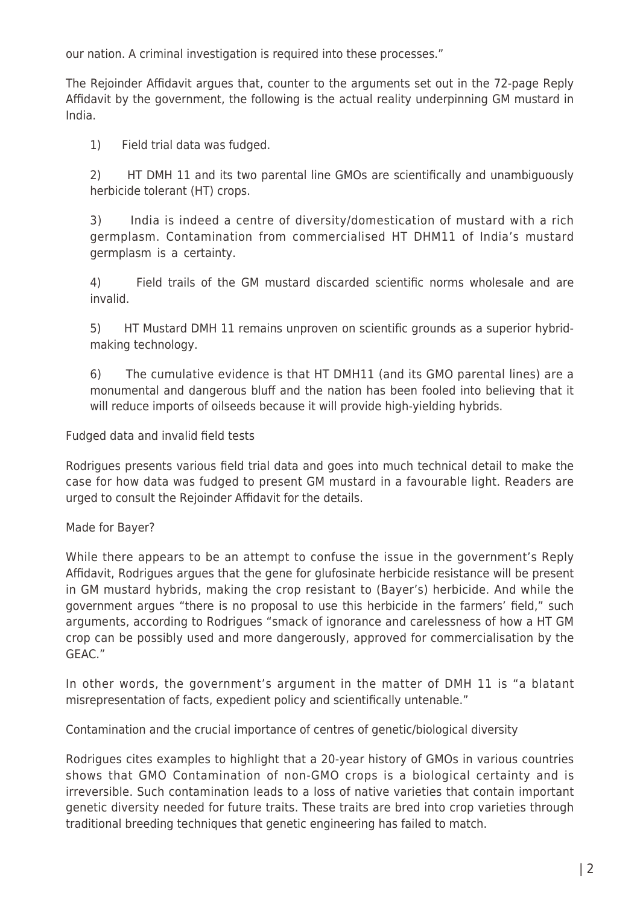our nation. A criminal investigation is required into these processes."

The Rejoinder Affidavit argues that, counter to the arguments set out in the 72-page Reply Affidavit by the government, the following is the actual reality underpinning GM mustard in India.

1) Field trial data was fudged.

2) HT DMH 11 and its two parental line GMOs are scientifically and unambiguously herbicide tolerant (HT) crops.

3) India is indeed a centre of diversity/domestication of mustard with a rich germplasm. Contamination from commercialised HT DHM11 of India's mustard germplasm is a certainty.

4) Field trails of the GM mustard discarded scientific norms wholesale and are invalid.

5) HT Mustard DMH 11 remains unproven on scientific grounds as a superior hybridmaking technology.

6) The cumulative evidence is that HT DMH11 (and its GMO parental lines) are a monumental and dangerous bluff and the nation has been fooled into believing that it will reduce imports of oilseeds because it will provide high-yielding hybrids.

Fudged data and invalid field tests

Rodrigues presents various field trial data and goes into much technical detail to make the case for how data was fudged to present GM mustard in a favourable light. Readers are urged to consult the Rejoinder Affidavit for the details.

## Made for Bayer?

While there appears to be an attempt to confuse the issue in the government's Reply Affidavit, Rodrigues argues that the gene for glufosinate herbicide resistance will be present in GM mustard hybrids, making the crop resistant to (Bayer's) herbicide. And while the government argues "there is no proposal to use this herbicide in the farmers' field," such arguments, according to Rodrigues "smack of ignorance and carelessness of how a HT GM crop can be possibly used and more dangerously, approved for commercialisation by the GEAC."

In other words, the government's argument in the matter of DMH 11 is "a blatant misrepresentation of facts, expedient policy and scientifically untenable."

Contamination and the crucial importance of centres of genetic/biological diversity

Rodrigues cites examples to highlight that a 20-year history of GMOs in various countries shows that GMO Contamination of non-GMO crops is a biological certainty and is irreversible. Such contamination leads to a loss of native varieties that contain important genetic diversity needed for future traits. These traits are bred into crop varieties through traditional breeding techniques that genetic engineering has failed to match.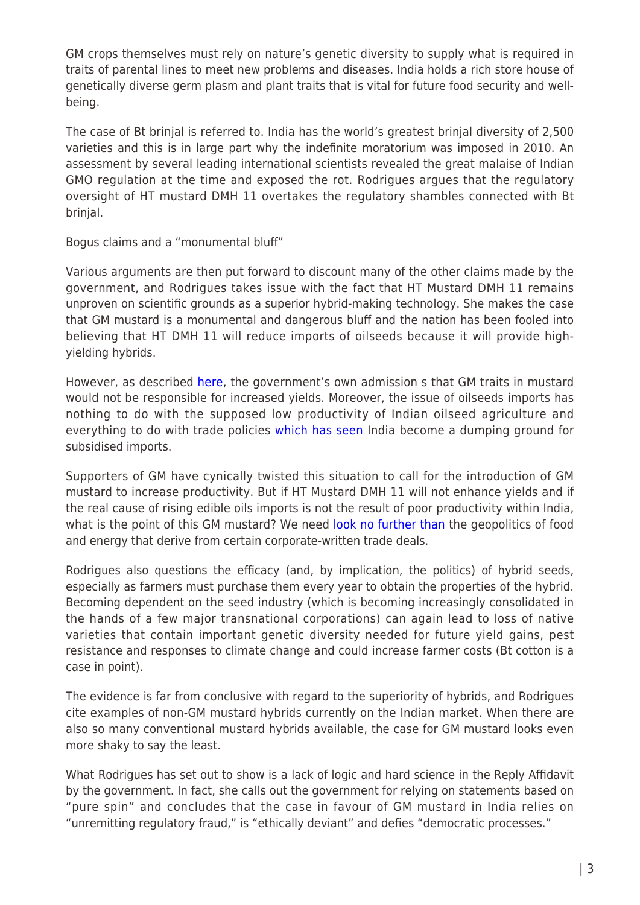GM crops themselves must rely on nature's genetic diversity to supply what is required in traits of parental lines to meet new problems and diseases. India holds a rich store house of genetically diverse germ plasm and plant traits that is vital for future food security and wellbeing.

The case of Bt brinjal is referred to. India has the world's greatest brinjal diversity of 2,500 varieties and this is in large part why the indefinite moratorium was imposed in 2010. An assessment by several leading international scientists revealed the great malaise of Indian GMO regulation at the time and exposed the rot. Rodrigues argues that the regulatory oversight of HT mustard DMH 11 overtakes the regulatory shambles connected with Bt brinjal.

Bogus claims and a "monumental bluff"

Various arguments are then put forward to discount many of the other claims made by the government, and Rodrigues takes issue with the fact that HT Mustard DMH 11 remains unproven on scientific grounds as a superior hybrid-making technology. She makes the case that GM mustard is a monumental and dangerous bluff and the nation has been fooled into believing that HT DMH 11 will reduce imports of oilseeds because it will provide highyielding hybrids.

However, as described [here,](http://www.counterpunch.org/2016/10/27/lower-yields-and-agropoisons-what-is-the-point-of-gm-mustard-in-india/) the government's own admission s that GM traits in mustard would not be responsible for increased yields. Moreover, the issue of oilseeds imports has nothing to do with the supposed low productivity of Indian oilseed agriculture and everything to do with trade policies [which has seen](http://www.globalresearch.ca/palm-oil-and-gm-mustard-a-marriage-made-in-hell/5513685) India become a dumping ground for subsidised imports.

Supporters of GM have cynically twisted this situation to call for the introduction of GM mustard to increase productivity. But if HT Mustard DMH 11 will not enhance yields and if the real cause of rising edible oils imports is not the result of poor productivity within India, what is the point of this GM mustard? We need [look no further than](http://www.huffingtonpost.ca/colin-todhunter/india-bayer-monsanto_b_12794698.html) the geopolitics of food and energy that derive from certain corporate-written trade deals.

Rodrigues also questions the efficacy (and, by implication, the politics) of hybrid seeds, especially as farmers must purchase them every year to obtain the properties of the hybrid. Becoming dependent on the seed industry (which is becoming increasingly consolidated in the hands of a few major transnational corporations) can again lead to loss of native varieties that contain important genetic diversity needed for future yield gains, pest resistance and responses to climate change and could increase farmer costs (Bt cotton is a case in point).

The evidence is far from conclusive with regard to the superiority of hybrids, and Rodrigues cite examples of non-GM mustard hybrids currently on the Indian market. When there are also so many conventional mustard hybrids available, the case for GM mustard looks even more shaky to say the least.

What Rodrigues has set out to show is a lack of logic and hard science in the Reply Affidavit by the government. In fact, she calls out the government for relying on statements based on "pure spin" and concludes that the case in favour of GM mustard in India relies on "unremitting regulatory fraud," is "ethically deviant" and defies "democratic processes."